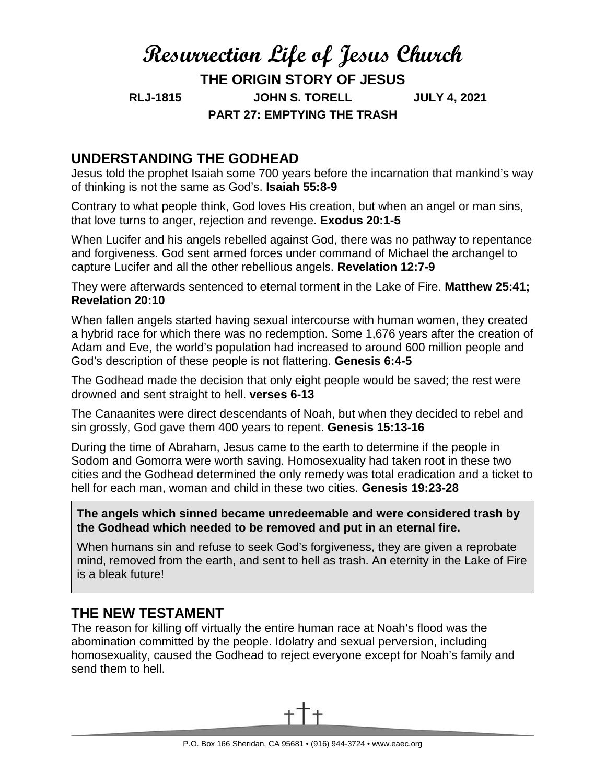# **Resurrection Life of Jesus Church THE ORIGIN STORY OF JESUS RLJ-1815 JOHN S. TORELL JULY 4, 2021 PART 27: EMPTYING THE TRASH**

## **UNDERSTANDING THE GODHEAD**

Jesus told the prophet Isaiah some 700 years before the incarnation that mankind's way of thinking is not the same as God's. **Isaiah 55:8-9**

Contrary to what people think, God loves His creation, but when an angel or man sins, that love turns to anger, rejection and revenge. **Exodus 20:1-5**

When Lucifer and his angels rebelled against God, there was no pathway to repentance and forgiveness. God sent armed forces under command of Michael the archangel to capture Lucifer and all the other rebellious angels. **Revelation 12:7-9**

They were afterwards sentenced to eternal torment in the Lake of Fire. **Matthew 25:41; Revelation 20:10**

When fallen angels started having sexual intercourse with human women, they created a hybrid race for which there was no redemption. Some 1,676 years after the creation of Adam and Eve, the world's population had increased to around 600 million people and God's description of these people is not flattering. **Genesis 6:4-5**

The Godhead made the decision that only eight people would be saved; the rest were drowned and sent straight to hell. **verses 6-13**

The Canaanites were direct descendants of Noah, but when they decided to rebel and sin grossly, God gave them 400 years to repent. **Genesis 15:13-16**

During the time of Abraham, Jesus came to the earth to determine if the people in Sodom and Gomorra were worth saving. Homosexuality had taken root in these two cities and the Godhead determined the only remedy was total eradication and a ticket to hell for each man, woman and child in these two cities. **Genesis 19:23-28**

**The angels which sinned became unredeemable and were considered trash by the Godhead which needed to be removed and put in an eternal fire.**

When humans sin and refuse to seek God's forgiveness, they are given a reprobate mind, removed from the earth, and sent to hell as trash. An eternity in the Lake of Fire is a bleak future!

## **THE NEW TESTAMENT**

The reason for killing off virtually the entire human race at Noah's flood was the abomination committed by the people. Idolatry and sexual perversion, including homosexuality, caused the Godhead to reject everyone except for Noah's family and send them to hell.